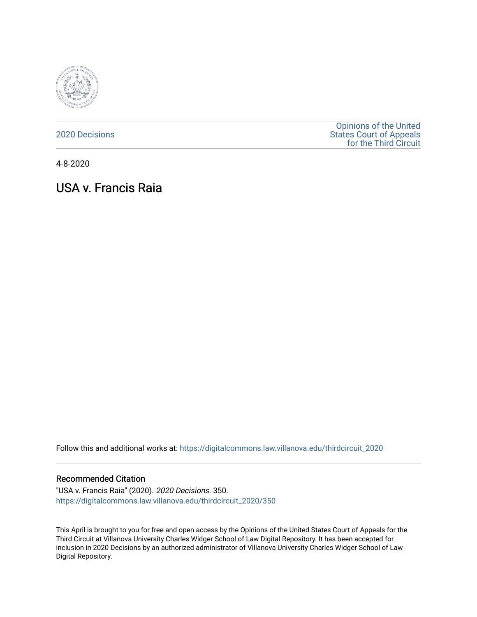

[2020 Decisions](https://digitalcommons.law.villanova.edu/thirdcircuit_2020)

[Opinions of the United](https://digitalcommons.law.villanova.edu/thirdcircuit)  [States Court of Appeals](https://digitalcommons.law.villanova.edu/thirdcircuit)  [for the Third Circuit](https://digitalcommons.law.villanova.edu/thirdcircuit) 

4-8-2020

# USA v. Francis Raia

Follow this and additional works at: [https://digitalcommons.law.villanova.edu/thirdcircuit\\_2020](https://digitalcommons.law.villanova.edu/thirdcircuit_2020?utm_source=digitalcommons.law.villanova.edu%2Fthirdcircuit_2020%2F350&utm_medium=PDF&utm_campaign=PDFCoverPages) 

#### Recommended Citation

"USA v. Francis Raia" (2020). 2020 Decisions. 350. [https://digitalcommons.law.villanova.edu/thirdcircuit\\_2020/350](https://digitalcommons.law.villanova.edu/thirdcircuit_2020/350?utm_source=digitalcommons.law.villanova.edu%2Fthirdcircuit_2020%2F350&utm_medium=PDF&utm_campaign=PDFCoverPages)

This April is brought to you for free and open access by the Opinions of the United States Court of Appeals for the Third Circuit at Villanova University Charles Widger School of Law Digital Repository. It has been accepted for inclusion in 2020 Decisions by an authorized administrator of Villanova University Charles Widger School of Law Digital Repository.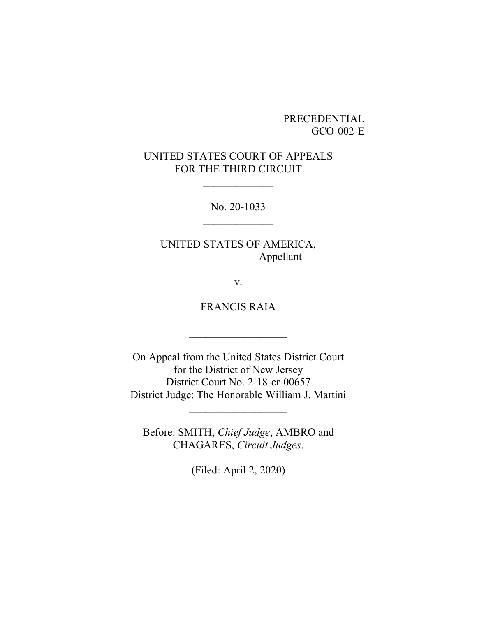### PRECEDENTIAL GCO-002-E

## UNITED STATES COURT OF APPEALS FOR THE THIRD CIRCUIT

No. 20-1033  $\frac{1}{2}$ 

UNITED STATES OF AMERICA, Appellant

v.

FRANCIS RAIA

 $\frac{1}{2}$  ,  $\frac{1}{2}$  ,  $\frac{1}{2}$  ,  $\frac{1}{2}$  ,  $\frac{1}{2}$  ,  $\frac{1}{2}$  ,  $\frac{1}{2}$  ,  $\frac{1}{2}$  ,  $\frac{1}{2}$  ,  $\frac{1}{2}$ 

On Appeal from the United States District Court for the District of New Jersey District Court No. 2-18-cr-00657 District Judge: The Honorable William J. Martini

 $\frac{1}{2}$  ,  $\frac{1}{2}$  ,  $\frac{1}{2}$  ,  $\frac{1}{2}$  ,  $\frac{1}{2}$  ,  $\frac{1}{2}$  ,  $\frac{1}{2}$  ,  $\frac{1}{2}$  ,  $\frac{1}{2}$  ,  $\frac{1}{2}$ 

Before: SMITH, *Chief Judge*, AMBRO and CHAGARES, *Circuit Judges*.

(Filed: April 2, 2020)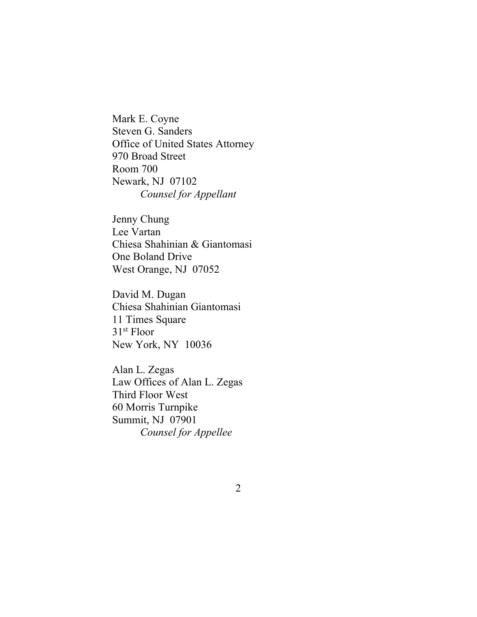Mark E. Coyne Steven G. Sanders Office of United States Attorney 970 Broad Street Room 700 Newark, NJ 07102 *Counsel for Appellant*

Jenny Chung Lee Vartan Chiesa Shahinian & Giantomasi One Boland Drive West Orange, NJ 07052

David M. Dugan Chiesa Shahinian Giantomasi 11 Times Square 31st Floor New York, NY 10036

Alan L. Zegas Law Offices of Alan L. Zegas Third Floor West 60 Morris Turnpike Summit, NJ 07901 *Counsel for Appellee*

2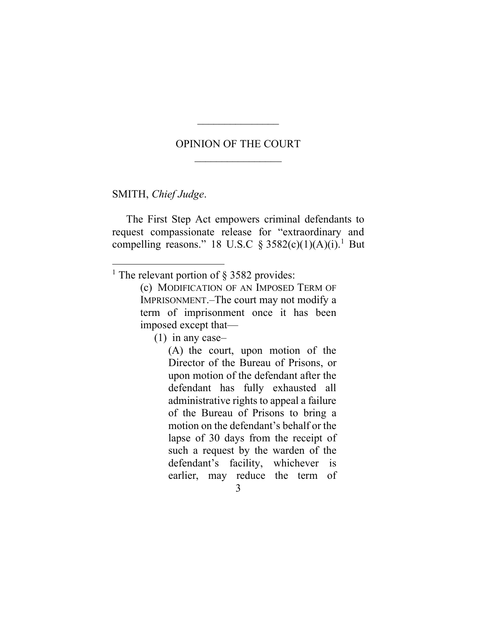### OPINION OF THE COURT

 $\mathcal{L}_\text{max}$ 

SMITH, *Chief Judge*.

The First Step Act empowers criminal defendants to request compassionate release for "extraordinary and compelling reasons." 18 U.S.C  $\S 3582(c)(1)(A)(i).$ <sup>1</sup> But

(1) in any case–

(A) the court, upon motion of the Director of the Bureau of Prisons, or upon motion of the defendant after the defendant has fully exhausted all administrative rights to appeal a failure of the Bureau of Prisons to bring a motion on the defendant's behalf or the lapse of 30 days from the receipt of such a request by the warden of the defendant's facility, whichever is earlier, may reduce the term of

3

<sup>&</sup>lt;sup>1</sup> The relevant portion of  $\S$  3582 provides:

<sup>(</sup>c) MODIFICATION OF AN IMPOSED TERM OF IMPRISONMENT.–The court may not modify a term of imprisonment once it has been imposed except that—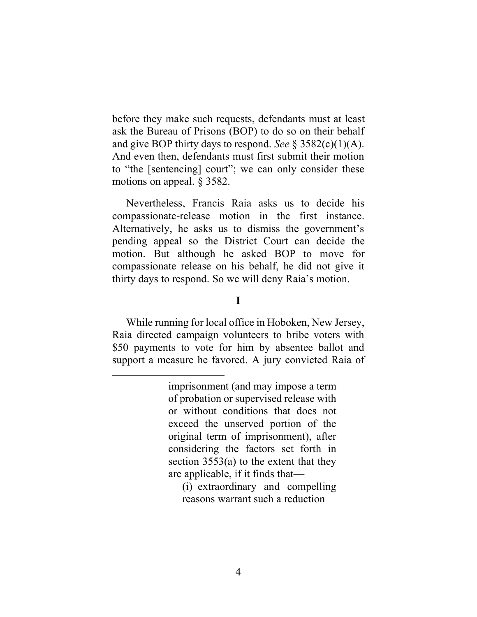before they make such requests, defendants must at least ask the Bureau of Prisons (BOP) to do so on their behalf and give BOP thirty days to respond. *See* § 3582(c)(1)(A). And even then, defendants must first submit their motion to "the [sentencing] court"; we can only consider these motions on appeal. § 3582.

Nevertheless, Francis Raia asks us to decide his compassionate-release motion in the first instance. Alternatively, he asks us to dismiss the government's pending appeal so the District Court can decide the motion. But although he asked BOP to move for compassionate release on his behalf, he did not give it thirty days to respond. So we will deny Raia's motion.

#### **I**

While running for local office in Hoboken, New Jersey, Raia directed campaign volunteers to bribe voters with \$50 payments to vote for him by absentee ballot and support a measure he favored. A jury convicted Raia of

(i) extraordinary and compelling reasons warrant such a reduction

imprisonment (and may impose a term of probation or supervised release with or without conditions that does not exceed the unserved portion of the original term of imprisonment), after considering the factors set forth in section 3553(a) to the extent that they are applicable, if it finds that—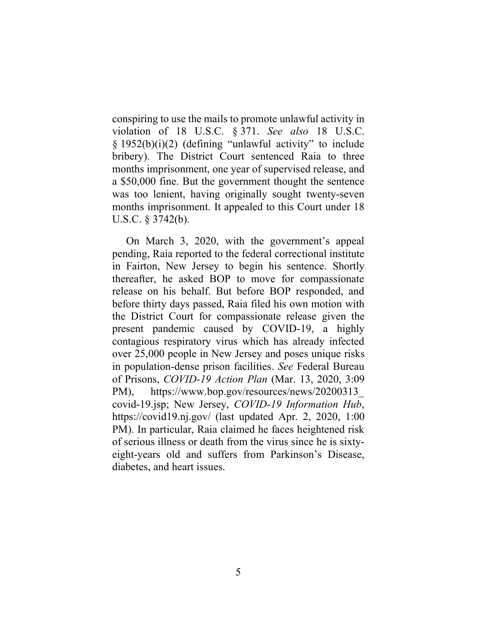conspiring to use the mails to promote unlawful activity in violation of 18 U.S.C. § 371. *See also* 18 U.S.C. § 1952(b)(i)(2) (defining "unlawful activity" to include bribery). The District Court sentenced Raia to three months imprisonment, one year of supervised release, and a \$50,000 fine. But the government thought the sentence was too lenient, having originally sought twenty-seven months imprisonment. It appealed to this Court under 18 U.S.C. § 3742(b).

On March 3, 2020, with the government's appeal pending, Raia reported to the federal correctional institute in Fairton, New Jersey to begin his sentence. Shortly thereafter, he asked BOP to move for compassionate release on his behalf. But before BOP responded, and before thirty days passed, Raia filed his own motion with the District Court for compassionate release given the present pandemic caused by COVID-19, a highly contagious respiratory virus which has already infected over 25,000 people in New Jersey and poses unique risks in population-dense prison facilities. *See* Federal Bureau of Prisons, *COVID-19 Action Plan* (Mar. 13, 2020, 3:09 PM), https://www.bop.gov/resources/news/20200313\_ covid-19.jsp; New Jersey, *COVID-19 Information Hub*, https://covid19.nj.gov/ (last updated Apr. 2, 2020, 1:00 PM). In particular, Raia claimed he faces heightened risk of serious illness or death from the virus since he is sixtyeight-years old and suffers from Parkinson's Disease, diabetes, and heart issues.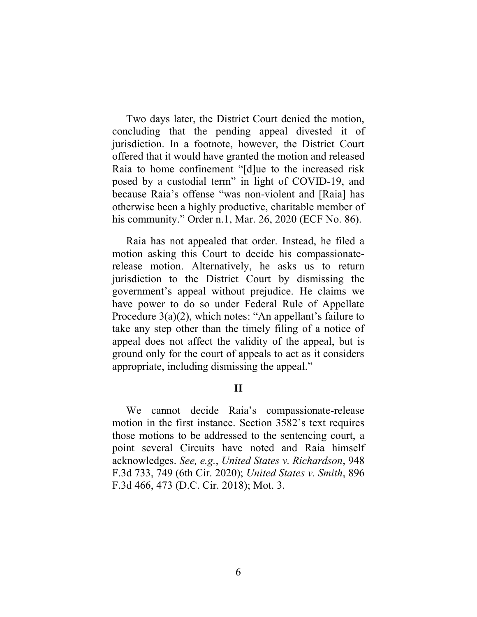Two days later, the District Court denied the motion, concluding that the pending appeal divested it of jurisdiction. In a footnote, however, the District Court offered that it would have granted the motion and released Raia to home confinement "[d]ue to the increased risk posed by a custodial term" in light of COVID-19, and because Raia's offense "was non-violent and [Raia] has otherwise been a highly productive, charitable member of his community." Order n.1, Mar. 26, 2020 (ECF No. 86).

Raia has not appealed that order. Instead, he filed a motion asking this Court to decide his compassionaterelease motion. Alternatively, he asks us to return jurisdiction to the District Court by dismissing the government's appeal without prejudice. He claims we have power to do so under Federal Rule of Appellate Procedure 3(a)(2), which notes: "An appellant's failure to take any step other than the timely filing of a notice of appeal does not affect the validity of the appeal, but is ground only for the court of appeals to act as it considers appropriate, including dismissing the appeal."

#### **II**

We cannot decide Raia's compassionate-release motion in the first instance. Section 3582's text requires those motions to be addressed to the sentencing court, a point several Circuits have noted and Raia himself acknowledges. *See, e.g.*, *United States v. Richardson*, 948 F.3d 733, 749 (6th Cir. 2020); *United States v. Smith*, 896 F.3d 466, 473 (D.C. Cir. 2018); Mot. 3.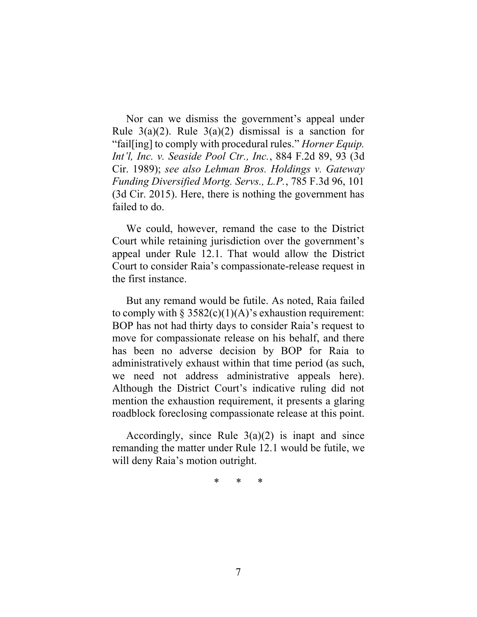Nor can we dismiss the government's appeal under Rule  $3(a)(2)$ . Rule  $3(a)(2)$  dismissal is a sanction for "fail[ing] to comply with procedural rules." *Horner Equip. Int'l, Inc. v. Seaside Pool Ctr., Inc.*, 884 F.2d 89, 93 (3d Cir. 1989); *see also Lehman Bros. Holdings v. Gateway Funding Diversified Mortg. Servs., L.P.*, 785 F.3d 96, 101 (3d Cir. 2015). Here, there is nothing the government has failed to do.

We could, however, remand the case to the District Court while retaining jurisdiction over the government's appeal under Rule 12.1. That would allow the District Court to consider Raia's compassionate-release request in the first instance.

But any remand would be futile. As noted, Raia failed to comply with  $\S 3582(c)(1)(A)$ 's exhaustion requirement: BOP has not had thirty days to consider Raia's request to move for compassionate release on his behalf, and there has been no adverse decision by BOP for Raia to administratively exhaust within that time period (as such, we need not address administrative appeals here). Although the District Court's indicative ruling did not mention the exhaustion requirement, it presents a glaring roadblock foreclosing compassionate release at this point.

Accordingly, since Rule  $3(a)(2)$  is inapt and since remanding the matter under Rule 12.1 would be futile, we will deny Raia's motion outright.

\* \* \*